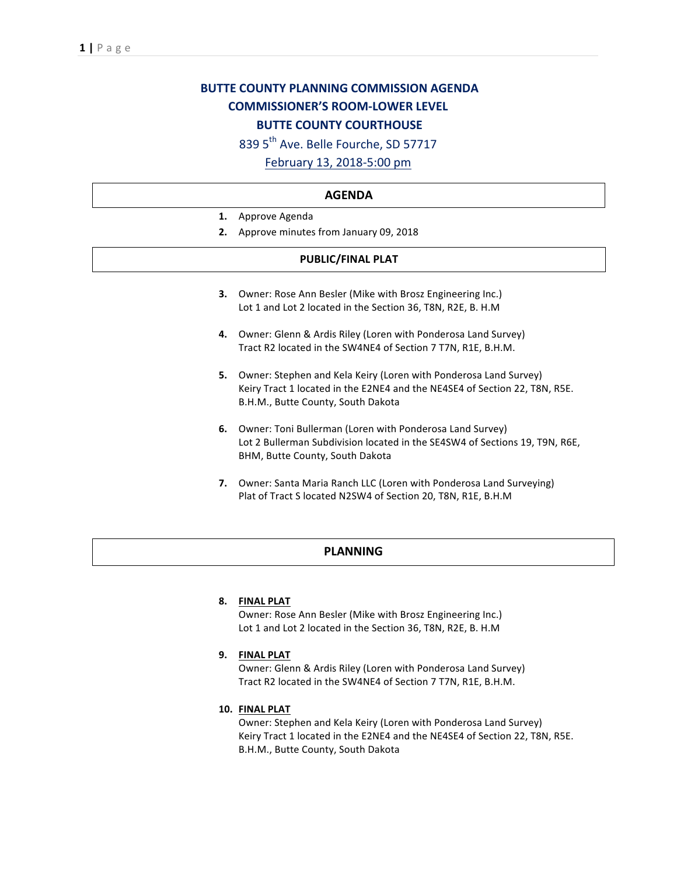# **BUTTE COUNTY PLANNING COMMISSION AGENDA COMMISSIONER'S ROOM-LOWER LEVEL BUTTE COUNTY COURTHOUSE**

839 5<sup>th</sup> Ave. Belle Fourche, SD 57717

## February 13, 2018-5:00 pm

#### **AGENDA**

- 1. Approve Agenda
- **2.** Approve minutes from January 09, 2018

### **PUBLIC/FINAL PLAT**

- **3.** Owner: Rose Ann Besler (Mike with Brosz Engineering Inc.) Lot 1 and Lot 2 located in the Section 36, T8N, R2E, B. H.M
- 4. Owner: Glenn & Ardis Riley (Loren with Ponderosa Land Survey) Tract R2 located in the SW4NE4 of Section 7 T7N, R1E, B.H.M.
- **5.** Owner: Stephen and Kela Keiry (Loren with Ponderosa Land Survey) Keiry Tract 1 located in the E2NE4 and the NE4SE4 of Section 22, T8N, R5E. B.H.M., Butte County, South Dakota
- **6.** Owner: Toni Bullerman (Loren with Ponderosa Land Survey) Lot 2 Bullerman Subdivision located in the SE4SW4 of Sections 19, T9N, R6E, BHM, Butte County, South Dakota
- **7.** Owner: Santa Maria Ranch LLC (Loren with Ponderosa Land Surveying) Plat of Tract S located N2SW4 of Section 20, T8N, R1E, B.H.M

#### **PLANNING**

#### **8. FINAL PLAT**

Owner: Rose Ann Besler (Mike with Brosz Engineering Inc.) Lot 1 and Lot 2 located in the Section 36, T8N, R2E, B. H.M

#### **9. FINAL PLAT**

Owner: Glenn & Ardis Riley (Loren with Ponderosa Land Survey) Tract R2 located in the SW4NE4 of Section 7 T7N, R1E, B.H.M.

#### **10. FINAL PLAT**

Owner: Stephen and Kela Keiry (Loren with Ponderosa Land Survey) Keiry Tract 1 located in the E2NE4 and the NE4SE4 of Section 22, T8N, R5E. B.H.M., Butte County, South Dakota